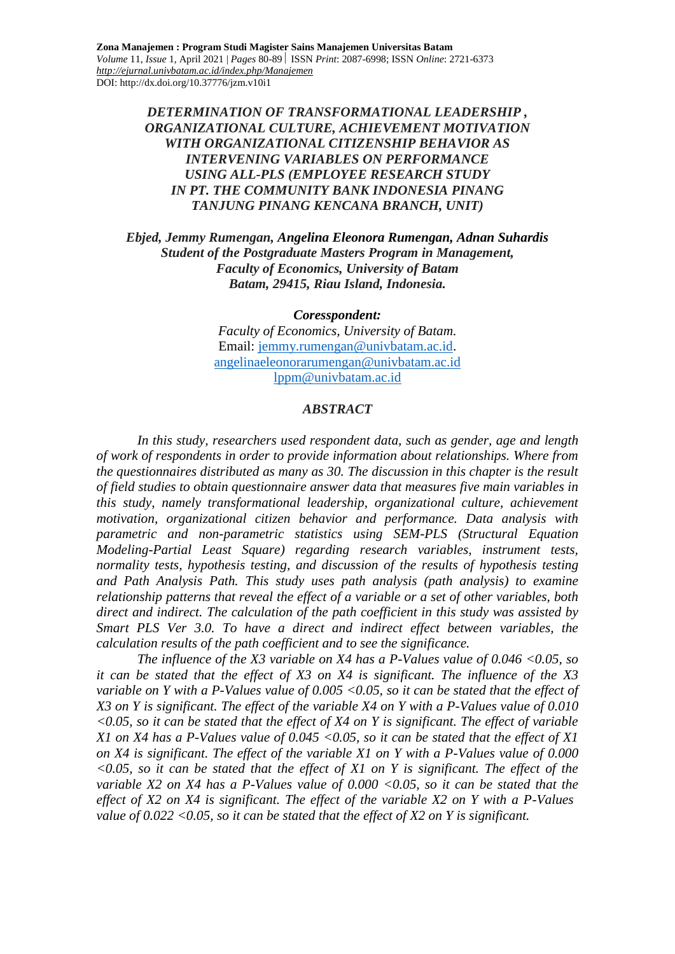**Zona Manajemen : Program Studi Magister Sains Manajemen Universitas Batam** *Volume* 11, *Issue* 1, April 2021 | *Pages* 80-89 ISSN *Print*: 2087-6998; ISSN *Online*: 2721-6373 *<http://ejurnal.univbatam.ac.id/index.php/Manajemen>* DOI: http://dx.doi.org/10.37776/jzm.v10i1

> *DETERMINATION OF TRANSFORMATIONAL LEADERSHIP , ORGANIZATIONAL CULTURE, ACHIEVEMENT MOTIVATION WITH ORGANIZATIONAL CITIZENSHIP BEHAVIOR AS INTERVENING VARIABLES ON PERFORMANCE USING ALL-PLS (EMPLOYEE RESEARCH STUDY IN PT. THE COMMUNITY BANK INDONESIA PINANG TANJUNG PINANG KENCANA BRANCH, UNIT)*

*Ebjed, Jemmy Rumengan, Angelina Eleonora Rumengan, Adnan Suhardis Student of the Postgraduate Masters Program in Management, Faculty of Economics, University of Batam Batam, 29415, Riau Island, Indonesia.*

*Coresspondent:*

*Faculty of Economics, University of Batam.* Email: [jemmy.rumengan@univbatam.ac.id.](mailto:jemmy.rumengan@univbatam.ac.id) [angelinaeleonorarumengan@univbatam.ac.id](mailto:angelinaeleonorarumengan@univbatam.ac.id) [lppm@univbatam.ac.id](mailto:lppm@univbatam.ac.id)

#### *ABSTRACT*

*In this study, researchers used respondent data, such as gender, age and length of work of respondents in order to provide information about relationships. Where from the questionnaires distributed as many as 30. The discussion in this chapter is the result of field studies to obtain questionnaire answer data that measures five main variables in this study, namely transformational leadership, organizational culture, achievement motivation, organizational citizen behavior and performance. Data analysis with parametric and non-parametric statistics using SEM-PLS (Structural Equation Modeling-Partial Least Square) regarding research variables, instrument tests, normality tests, hypothesis testing, and discussion of the results of hypothesis testing and Path Analysis Path. This study uses path analysis (path analysis) to examine relationship patterns that reveal the effect of a variable or a set of other variables, both direct and indirect. The calculation of the path coefficient in this study was assisted by Smart PLS Ver 3.0. To have a direct and indirect effect between variables, the calculation results of the path coefficient and to see the significance.*

*The influence of the X3 variable on X4 has a P-Values value of 0.046 <0.05, so it can be stated that the effect of X3 on X4 is significant. The influence of the X3 variable on Y with a P-Values value of 0.005 <0.05, so it can be stated that the effect of X3 on Y is significant. The effect of the variable X4 on Y with a P-Values value of 0.010 <0.05, so it can be stated that the effect of X4 on Y is significant. The effect of variable X1 on X4 has a P-Values value of 0.045 <0.05, so it can be stated that the effect of X1 on X4 is significant. The effect of the variable X1 on Y with a P-Values value of 0.000 <0.05, so it can be stated that the effect of X1 on Y is significant. The effect of the variable X2 on X4 has a P-Values value of 0.000 <0.05, so it can be stated that the effect of X2 on X4 is significant. The effect of the variable X2 on Y with a P-Values value of 0.022 <0.05, so it can be stated that the effect of X2 on Y is significant.*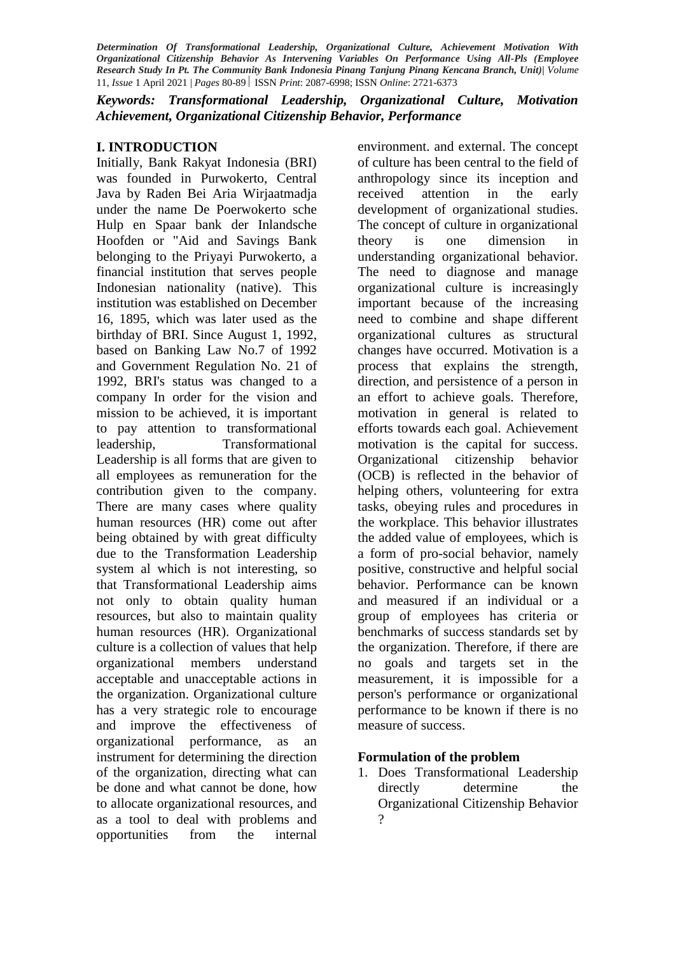*Keywords: Transformational Leadership, Organizational Culture, Motivation Achievement, Organizational Citizenship Behavior, Performance*

# **I. INTRODUCTION**

Initially, Bank Rakyat Indonesia (BRI) was founded in Purwokerto, Central Java by Raden Bei Aria Wirjaatmadja under the name De Poerwokerto sche Hulp en Spaar bank der Inlandsche Hoofden or "Aid and Savings Bank belonging to the Priyayi Purwokerto, a financial institution that serves people Indonesian nationality (native). This institution was established on December 16, 1895, which was later used as the birthday of BRI. Since August 1, 1992, based on Banking Law No.7 of 1992 and Government Regulation No. 21 of 1992, BRI's status was changed to a company In order for the vision and mission to be achieved, it is important to pay attention to transformational leadership, Transformational Leadership is all forms that are given to all employees as remuneration for the contribution given to the company. There are many cases where quality human resources (HR) come out after being obtained by with great difficulty due to the Transformation Leadership system al which is not interesting, so that Transformational Leadership aims not only to obtain quality human resources, but also to maintain quality human resources (HR). Organizational culture is a collection of values that help organizational members understand acceptable and unacceptable actions in the organization. Organizational culture has a very strategic role to encourage and improve the effectiveness of organizational performance, as an instrument for determining the direction of the organization, directing what can be done and what cannot be done, how to allocate organizational resources, and as a tool to deal with problems and opportunities from the internal

environment. and external. The concept of culture has been central to the field of anthropology since its inception and received attention in the early development of organizational studies. The concept of culture in organizational theory is one dimension in understanding organizational behavior. The need to diagnose and manage organizational culture is increasingly important because of the increasing need to combine and shape different organizational cultures as structural changes have occurred. Motivation is a process that explains the strength, direction, and persistence of a person in an effort to achieve goals. Therefore, motivation in general is related to efforts towards each goal. Achievement motivation is the capital for success. Organizational citizenship behavior (OCB) is reflected in the behavior of helping others, volunteering for extra tasks, obeying rules and procedures in the workplace. This behavior illustrates the added value of employees, which is a form of pro-social behavior, namely positive, constructive and helpful social behavior. Performance can be known and measured if an individual or a group of employees has criteria or benchmarks of success standards set by the organization. Therefore, if there are no goals and targets set in the measurement, it is impossible for a person's performance or organizational performance to be known if there is no measure of success.

# **Formulation of the problem**

1. Does Transformational Leadership directly determine the Organizational Citizenship Behavior ?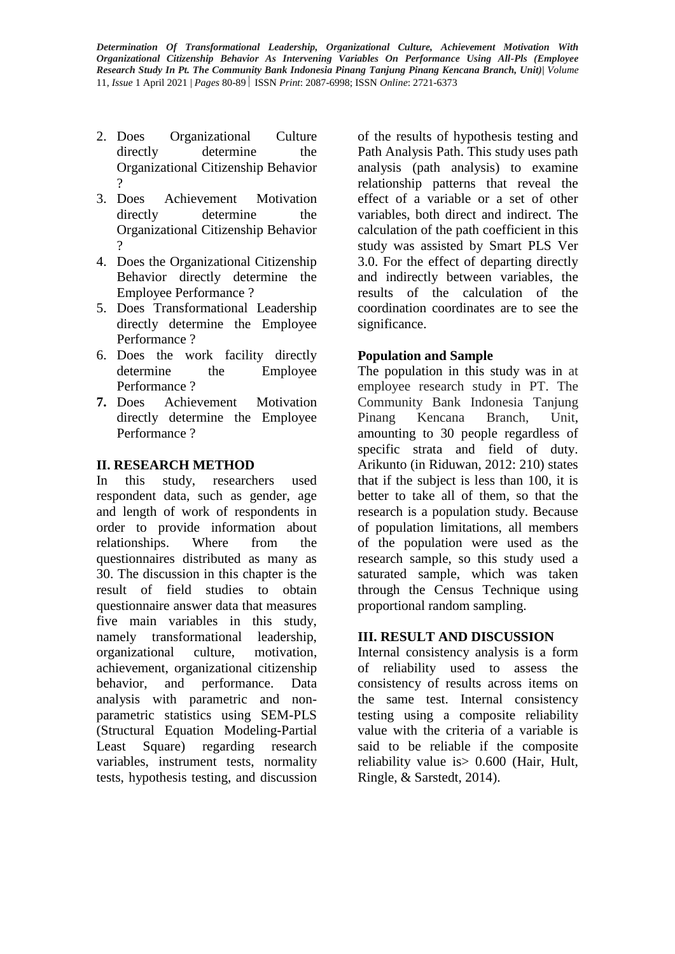- 2. Does Organizational Culture directly determine the Organizational Citizenship Behavior ?
- 3. Does Achievement Motivation directly determine the Organizational Citizenship Behavior ?
- 4. Does the Organizational Citizenship Behavior directly determine the Employee Performance ?
- 5. Does Transformational Leadership directly determine the Employee Performance ?
- 6. Does the work facility directly determine the Employee Performance ?
- **7.** Does Achievement Motivation directly determine the Employee Performance ?

# **II. RESEARCH METHOD**

In this study, researchers used respondent data, such as gender, age and length of work of respondents in order to provide information about relationships. Where from the questionnaires distributed as many as 30. The discussion in this chapter is the result of field studies to obtain questionnaire answer data that measures five main variables in this study, namely transformational leadership, organizational culture, motivation, achievement, organizational citizenship behavior, and performance. Data analysis with parametric and nonparametric statistics using SEM-PLS (Structural Equation Modeling-Partial Least Square) regarding research variables, instrument tests, normality tests, hypothesis testing, and discussion of the results of hypothesis testing and Path Analysis Path. This study uses path analysis (path analysis) to examine relationship patterns that reveal the effect of a variable or a set of other variables, both direct and indirect. The calculation of the path coefficient in this study was assisted by Smart PLS Ver 3.0. For the effect of departing directly and indirectly between variables, the results of the calculation of the coordination coordinates are to see the significance.

# **Population and Sample**

The population in this study was in at employee research study in PT. The Community Bank Indonesia Tanjung Pinang Kencana Branch, Unit, amounting to 30 people regardless of specific strata and field of duty. Arikunto (in Riduwan, 2012: 210) states that if the subject is less than 100, it is better to take all of them, so that the research is a population study. Because of population limitations, all members of the population were used as the research sample, so this study used a saturated sample, which was taken through the Census Technique using proportional random sampling.

# **III. RESULT AND DISCUSSION**

Internal consistency analysis is a form of reliability used to assess the consistency of results across items on the same test. Internal consistency testing using a composite reliability value with the criteria of a variable is said to be reliable if the composite reliability value is> 0.600 (Hair, Hult, Ringle, & Sarstedt, 2014).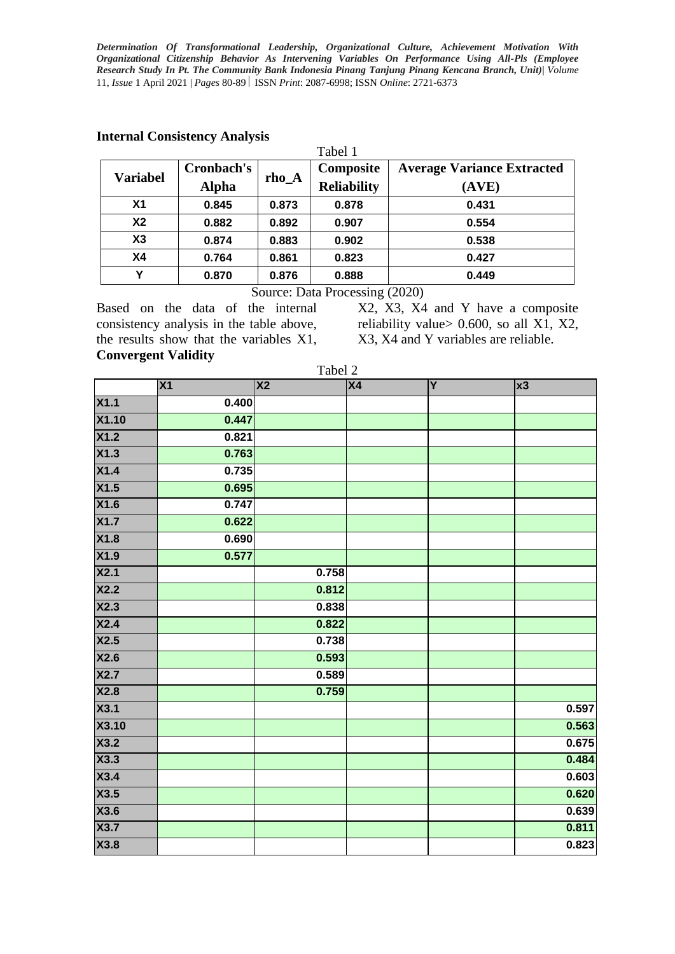|                 | michael Combibichte, Thinn (bib<br>Tabel 1 |         |                    |                                   |  |  |  |
|-----------------|--------------------------------------------|---------|--------------------|-----------------------------------|--|--|--|
| <b>Variabel</b> | Cronbach's                                 | $rho_A$ | Composite          | <b>Average Variance Extracted</b> |  |  |  |
|                 | <b>Alpha</b>                               |         | <b>Reliability</b> | (AVE)                             |  |  |  |
| X <sub>1</sub>  | 0.845                                      | 0.873   | 0.878              | 0.431                             |  |  |  |
| X <sub>2</sub>  | 0.882                                      | 0.892   | 0.907              | 0.554                             |  |  |  |
| X3              | 0.874                                      | 0.883   | 0.902              | 0.538                             |  |  |  |
| <b>X4</b>       | 0.764                                      | 0.861   | 0.823              | 0.427                             |  |  |  |
| Y               | 0.870                                      | 0.876   | 0.888              | 0.449                             |  |  |  |

#### **Internal Consistency Analysis**

Source: Data Processing (2020)

Based on the data of the internal consistency analysis in the table above, the results show that the variables X1, **Convergent Validity**

X2, X3, X4 and Y have a composite reliability value  $> 0.600$ , so all X1, X2, X3, X4 and Y variables are reliable.

|                            | Tabel 2 |                        |    |   |            |  |
|----------------------------|---------|------------------------|----|---|------------|--|
|                            | X1      | $\overline{\text{X2}}$ | X4 | Y | $\vert$ x3 |  |
| X1.1                       | 0.400   |                        |    |   |            |  |
| X1.10                      | 0.447   |                        |    |   |            |  |
| X1.2                       | 0.821   |                        |    |   |            |  |
| X1.3                       | 0.763   |                        |    |   |            |  |
| X1.4                       | 0.735   |                        |    |   |            |  |
| X1.5                       | 0.695   |                        |    |   |            |  |
| X1.6                       | 0.747   |                        |    |   |            |  |
| X1.7                       | 0.622   |                        |    |   |            |  |
| X1.8                       | 0.690   |                        |    |   |            |  |
| X1.9                       | 0.577   |                        |    |   |            |  |
| $\overline{\mathsf{X2.1}}$ |         | 0.758                  |    |   |            |  |
| X2.2                       |         | 0.812                  |    |   |            |  |
| X2.3                       |         | 0.838                  |    |   |            |  |
| X2.4                       |         | 0.822                  |    |   |            |  |
| X2.5                       |         | 0.738                  |    |   |            |  |
| X2.6                       |         | 0.593                  |    |   |            |  |
| X2.7                       |         | 0.589                  |    |   |            |  |
| X2.8                       |         | 0.759                  |    |   |            |  |
| X3.1                       |         |                        |    |   | 0.597      |  |
| <b>X3.10</b>               |         |                        |    |   | 0.563      |  |
| X3.2                       |         |                        |    |   | 0.675      |  |
| X3.3                       |         |                        |    |   | 0.484      |  |
| X3.4                       |         |                        |    |   | 0.603      |  |
| X3.5                       |         |                        |    |   | 0.620      |  |
| X3.6                       |         |                        |    |   | 0.639      |  |
| X3.7                       |         |                        |    |   | 0.811      |  |
| X3.8                       |         |                        |    |   | 0.823      |  |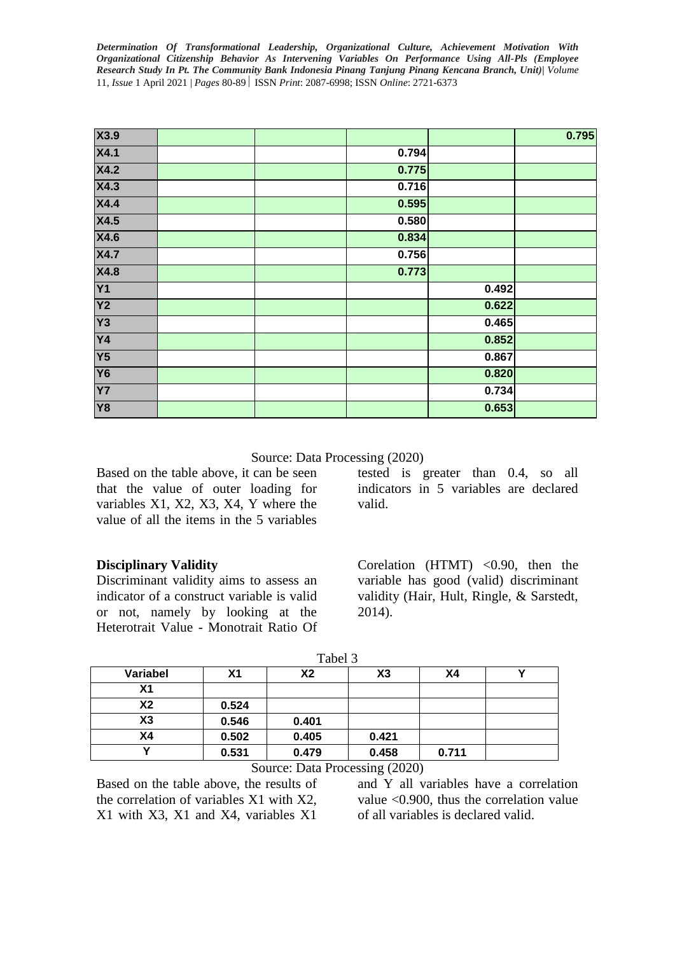| X3.9            |       |       | 0.795 |
|-----------------|-------|-------|-------|
| X4.1            | 0.794 |       |       |
| X4.2            | 0.775 |       |       |
| X4.3            | 0.716 |       |       |
| <b>X4.4</b>     | 0.595 |       |       |
| <b>X4.5</b>     | 0.580 |       |       |
| <b>X4.6</b>     | 0.834 |       |       |
| <b>X4.7</b>     | 0.756 |       |       |
| <b>X4.8</b>     | 0.773 |       |       |
| <b>Y1</b>       |       | 0.492 |       |
| Y <sub>2</sub>  |       | 0.622 |       |
| Y3              |       | 0.465 |       |
| $\overline{Y4}$ |       | 0.852 |       |
| <b>Y5</b>       |       | 0.867 |       |
| <b>Y6</b>       |       | 0.820 |       |
| <b>Y7</b>       |       | 0.734 |       |
| <b>Y8</b>       |       | 0.653 |       |

Source: Data Processing (2020)

Based on the table above, it can be seen that the value of outer loading for variables X1, X2, X3, X4, Y where the value of all the items in the 5 variables

tested is greater than 0.4, so all indicators in 5 variables are declared valid.

# **Disciplinary Validity**

Discriminant validity aims to assess an indicator of a construct variable is valid or not, namely by looking at the Heterotrait Value - Monotrait Ratio Of

Corelation (HTMT) <0.90, then the variable has good (valid) discriminant validity (Hair, Hult, Ringle, & Sarstedt, 2014).

|          |       | -----          |       |       |  |
|----------|-------|----------------|-------|-------|--|
| Variabel | Χ1    | X <sub>2</sub> | X3    | Χ4    |  |
| Χ1       |       |                |       |       |  |
| Х2       | 0.524 |                |       |       |  |
| X3       | 0.546 | 0.401          |       |       |  |
| Χ4       | 0.502 | 0.405          | 0.421 |       |  |
| v        | 0.531 | 0.479          | 0.458 | 0.711 |  |

# Source: Data Processing (2020)

Based on the table above, the results of the correlation of variables X1 with X2, X1 with X3, X1 and X4, variables X1

and Y all variables have a correlation value <0.900, thus the correlation value of all variables is declared valid.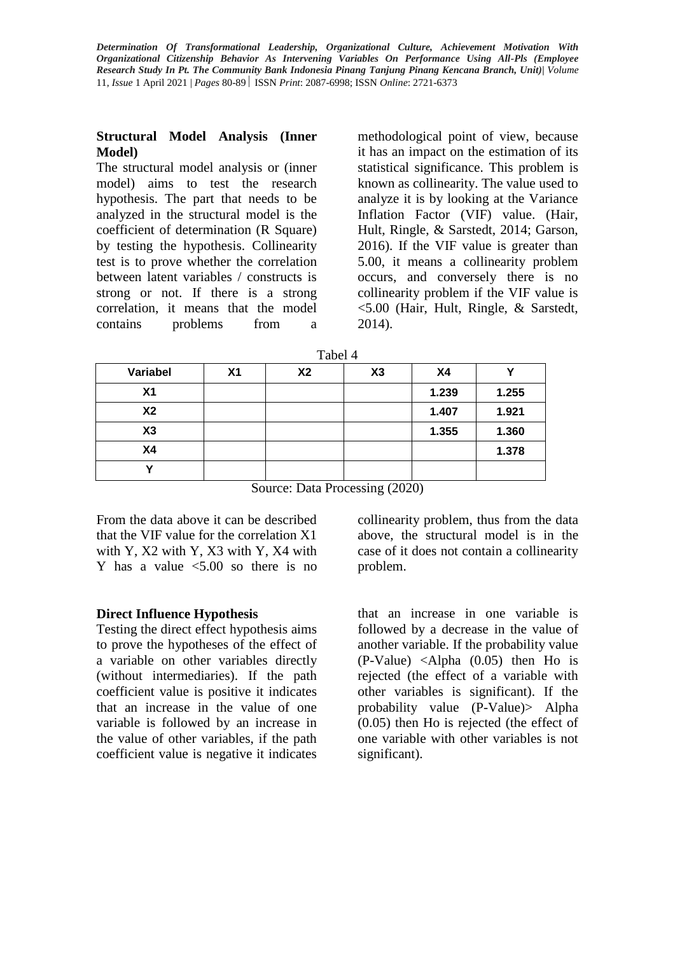#### **Structural Model Analysis (Inner Model)**

The structural model analysis or (inner model) aims to test the research hypothesis. The part that needs to be analyzed in the structural model is the coefficient of determination (R Square) by testing the hypothesis. Collinearity test is to prove whether the correlation between latent variables / constructs is strong or not. If there is a strong correlation, it means that the model contains problems from a

methodological point of view, because it has an impact on the estimation of its statistical significance. This problem is known as collinearity. The value used to analyze it is by looking at the Variance Inflation Factor (VIF) value. (Hair, Hult, Ringle, & Sarstedt, 2014; Garson, 2016). If the VIF value is greater than 5.00, it means a collinearity problem occurs, and conversely there is no collinearity problem if the VIF value is <5.00 (Hair, Hult, Ringle, & Sarstedt, 2014).

| Variabel       | X1 | <b>X2</b> | X3 | <b>X4</b> |       |
|----------------|----|-----------|----|-----------|-------|
| X <sub>1</sub> |    |           |    | 1.239     | 1.255 |
| X <sub>2</sub> |    |           |    | 1.407     | 1.921 |
| X3             |    |           |    | 1.355     | 1.360 |
| X <sub>4</sub> |    |           |    |           | 1.378 |
|                |    |           |    |           |       |

Source: Data Processing (2020)

From the data above it can be described that the VIF value for the correlation X1 with Y, X2 with Y, X3 with Y, X4 with Y has a value  $\leq 5.00$  so there is no

# **Direct Influence Hypothesis**

Testing the direct effect hypothesis aims to prove the hypotheses of the effect of a variable on other variables directly (without intermediaries). If the path coefficient value is positive it indicates that an increase in the value of one variable is followed by an increase in the value of other variables, if the path coefficient value is negative it indicates

collinearity problem, thus from the data above, the structural model is in the case of it does not contain a collinearity problem.

that an increase in one variable is followed by a decrease in the value of another variable. If the probability value (P-Value) <Alpha (0.05) then Ho is rejected (the effect of a variable with other variables is significant). If the probability value (P-Value)> Alpha (0.05) then Ho is rejected (the effect of one variable with other variables is not significant).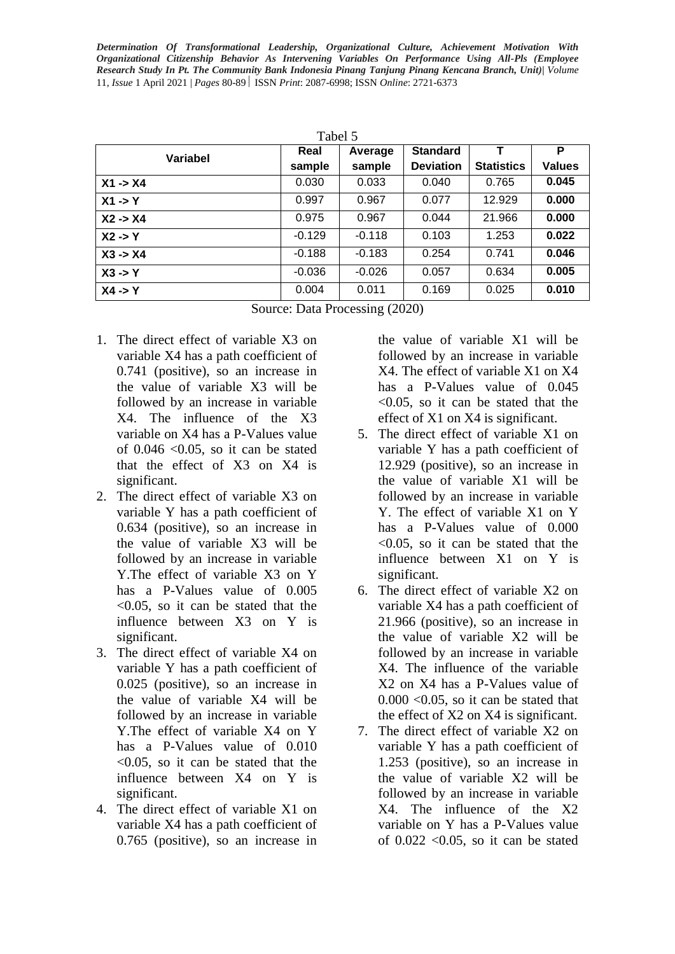| Tabel 5            |          |          |                  |                   |               |  |
|--------------------|----------|----------|------------------|-------------------|---------------|--|
| <b>Variabel</b>    | Real     | Average  | <b>Standard</b>  |                   | P             |  |
|                    | sample   | sample   | <b>Deviation</b> | <b>Statistics</b> | <b>Values</b> |  |
| $X1 - > X4$        | 0.030    | 0.033    | 0.040            | 0.765             | 0.045         |  |
| $X1 - Y$           | 0.997    | 0.967    | 0.077            | 12.929            | 0.000         |  |
| $X2 - > X4$        | 0.975    | 0.967    | 0.044            | 21.966            | 0.000         |  |
| $X2 \rightarrow Y$ | $-0.129$ | $-0.118$ | 0.103            | 1.253             | 0.022         |  |
| $X3 - > X4$        | $-0.188$ | $-0.183$ | 0.254            | 0.741             | 0.046         |  |
| $X3 \rightarrow Y$ | $-0.036$ | $-0.026$ | 0.057            | 0.634             | 0.005         |  |
| $X4 - Y$           | 0.004    | 0.011    | 0.169            | 0.025             | 0.010         |  |

Source: Data Processing (2020)

- 1. The direct effect of variable X3 on variable X4 has a path coefficient of 0.741 (positive), so an increase in the value of variable X3 will be followed by an increase in variable X4. The influence of the X3 variable on X4 has a P-Values value of  $0.046 \leq 0.05$ , so it can be stated that the effect of X3 on X4 is significant.
- 2. The direct effect of variable X3 on variable Y has a path coefficient of 0.634 (positive), so an increase in the value of variable X3 will be followed by an increase in variable Y.The effect of variable X3 on Y has a P-Values value of 0.005 <0.05, so it can be stated that the influence between X3 on Y is significant.
- 3. The direct effect of variable X4 on variable Y has a path coefficient of 0.025 (positive), so an increase in the value of variable X4 will be followed by an increase in variable Y.The effect of variable X4 on Y has a P-Values value of  $0.010$ <0.05, so it can be stated that the influence between X4 on Y is significant.
- 4. The direct effect of variable X1 on variable X4 has a path coefficient of 0.765 (positive), so an increase in

the value of variable X1 will be followed by an increase in variable X4. The effect of variable X1 on X4 has a P-Values value of  $0.045$ <0.05, so it can be stated that the effect of X1 on X4 is significant.

- 5. The direct effect of variable X1 on variable Y has a path coefficient of 12.929 (positive), so an increase in the value of variable X1 will be followed by an increase in variable Y. The effect of variable X1 on Y has a P-Values value of 0.000  $\leq 0.05$ , so it can be stated that the influence between X1 on Y is significant.
- 6. The direct effect of variable X2 on variable X4 has a path coefficient of 21.966 (positive), so an increase in the value of variable X2 will be followed by an increase in variable X4. The influence of the variable X2 on X4 has a P-Values value of  $0.000$  < 0.05, so it can be stated that the effect of X2 on X4 is significant.
- 7. The direct effect of variable X2 on variable Y has a path coefficient of 1.253 (positive), so an increase in the value of variable X2 will be followed by an increase in variable X4. The influence of the X2 variable on Y has a P-Values value of  $0.022$  < 0.05, so it can be stated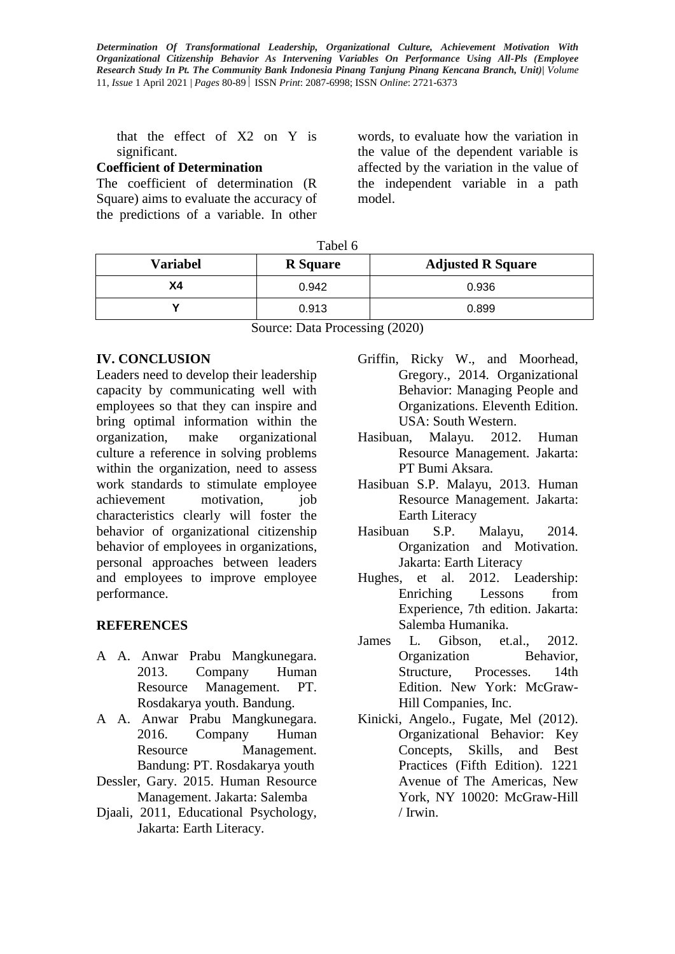that the effect of X2 on Y is significant.

# **Coefficient of Determination**

The coefficient of determination (R Square) aims to evaluate the accuracy of the predictions of a variable. In other words, to evaluate how the variation in the value of the dependent variable is affected by the variation in the value of the independent variable in a path model.

| <b>Variabel</b> | <b>R</b> Square | <b>Adjusted R Square</b> |  |
|-----------------|-----------------|--------------------------|--|
| Х4              | 0.942           | 0.936                    |  |
|                 | 0.913           | 0.899                    |  |

Source: Data Processing (2020)

# **IV. CONCLUSION**

Leaders need to develop their leadership capacity by communicating well with employees so that they can inspire and bring optimal information within the organization, make organizational culture a reference in solving problems within the organization, need to assess work standards to stimulate employee achievement motivation, job characteristics clearly will foster the behavior of organizational citizenship behavior of employees in organizations, personal approaches between leaders and employees to improve employee performance.

# **REFERENCES**

- A A. Anwar Prabu Mangkunegara. 2013. Company Human Resource Management. PT. Rosdakarya youth. Bandung.
- A A. Anwar Prabu Mangkunegara. 2016. Company Human Resource Management. Bandung: PT. Rosdakarya youth
- Dessler, Gary. 2015. Human Resource Management. Jakarta: Salemba
- Djaali, 2011, Educational Psychology, Jakarta: Earth Literacy.
- Griffin, Ricky W., and Moorhead, Gregory., 2014. Organizational Behavior: Managing People and Organizations. Eleventh Edition. USA: South Western.
- Hasibuan, Malayu. 2012. Human Resource Management. Jakarta: PT Bumi Aksara.
- Hasibuan S.P. Malayu, 2013. Human Resource Management. Jakarta: Earth Literacy
- Hasibuan S.P. Malayu, 2014. Organization and Motivation. Jakarta: Earth Literacy
- Hughes, et al. 2012. Leadership: Enriching Lessons from Experience, 7th edition. Jakarta: Salemba Humanika.
- James L. Gibson, et.al., 2012. Organization Behavior, Structure, Processes. 14th Edition. New York: McGraw-Hill Companies, Inc.
- Kinicki, Angelo., Fugate, Mel (2012). Organizational Behavior: Key Concepts, Skills, and Best Practices (Fifth Edition). 1221 Avenue of The Americas, New York, NY 10020: McGraw-Hill / Irwin.